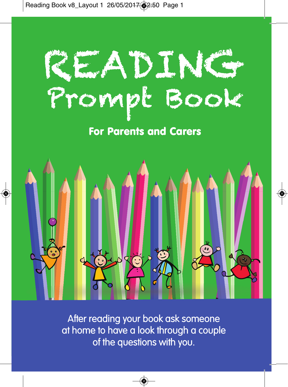## READING READI Prompt Book **EEADI**

**For Parents and Carers**



After reading your book ask someone at home to have a look through a couple of the questions with you.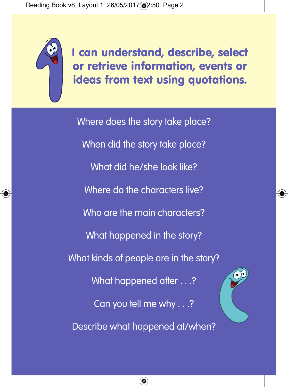

**I can understand, describe, select or retrieve information, events or ideas from text using quotations.**

Where does the story take place? When did the story take place? What did he/she look like? Where do the characters live? Who are the main characters? What happened in the story? What kinds of people are in the story? What happened after . . .? Can you tell me why . . .? Describe what happened at/when?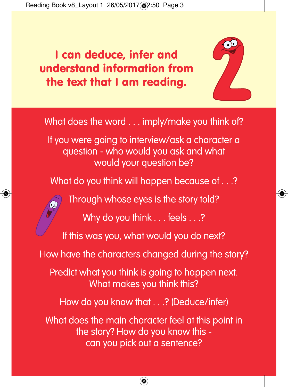## **I can deduce, infer and understand information from the text that I am reading.**



What does the word . . . imply/make you think of?

If you were going to interview/ask a character a question - who would you ask and what would your question be?

What do you think will happen because of . . .?

Through whose eyes is the story told?

Why do you think . . . feels . . .?

If this was you, what would you do next?

How have the characters changed during the story?

Predict what you think is going to happen next. What makes you think this?

How do you know that . . .? (Deduce/infer)

What does the main character feel at this point in the story? How do you know this can you pick out a sentence?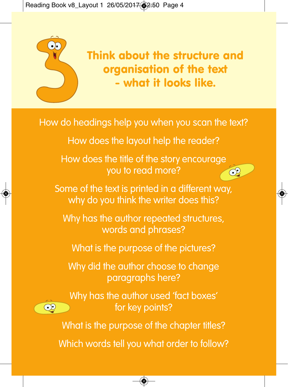

 $\infty$ 

**Think about the structure and organisation of the text - what it looks like.**

 $\widehat{C}$ 

How do headings help you when you scan the text?

How does the layout help the reader?

How does the title of the story encourage you to read more?

Some of the text is printed in a different way, why do you think the writer does this?

Why has the author repeated structures, words and phrases?

What is the purpose of the pictures?

Why did the author choose to change paragraphs here?

Why has the author used 'fact boxes' for key points?

What is the purpose of the chapter titles?

Which words tell you what order to follow?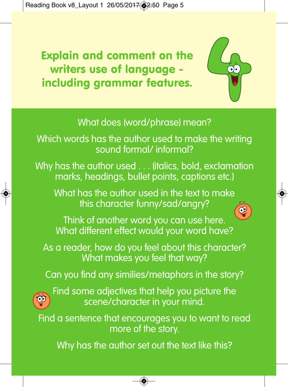**Explain and comment on the writers use of language including grammar features.**



## What does (word/phrase) mean?

Which words has the author used to make the writing sound formal/ informal?

Why has the author used . . . (italics, bold, exclamation marks, headings, bullet points, captions etc.)

What has the author used in the text to make this character funny/sad/angry?

Think of another word you can use here. What different effect would your word have?

As a reader, how do you feel about this character? What makes you feel that way?

Can you find any similies/metaphors in the story?



Find some adjectives that help you picture the scene/character in your mind.

Find a sentence that encourages you to want to read more of the story.

Why has the author set out the text like this?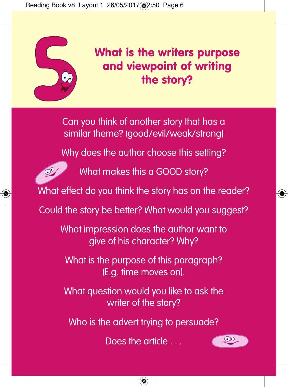

## **What is the writers purpose and viewpoint of writing the story?**

Can you think of another story that has a similar theme? (good/evil/weak/strong)

Why does the author choose this setting?



What makes this a GOOD story?

What effect do you think the story has on the reader?

Could the story be better? What would you suggest?

What impression does the author want to give of his character? Why?

What is the purpose of this paragraph? (E.g. time moves on).

What question would you like to ask the writer of the story?

Who is the advert trying to persuade?

Does the article . . .

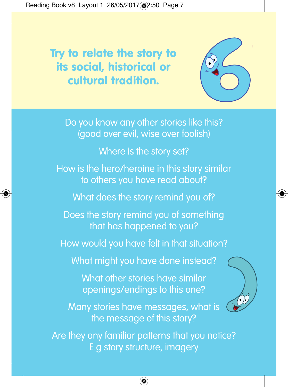**Try to relate the story to its social, historical or cultural tradition.**



Do you know any other stories like this? (good over evil, wise over foolish) Where is the story set? How is the hero/heroine in this story similar to others you have read about? What does the story remind you of? Does the story remind you of something that has happened to you? How would you have felt in that situation? What might you have done instead? What other stories have similar openings/endings to this one? Many stories have messages, what is the message of this story? Are they any familiar patterns that you notice?

E.g story structure, imagery